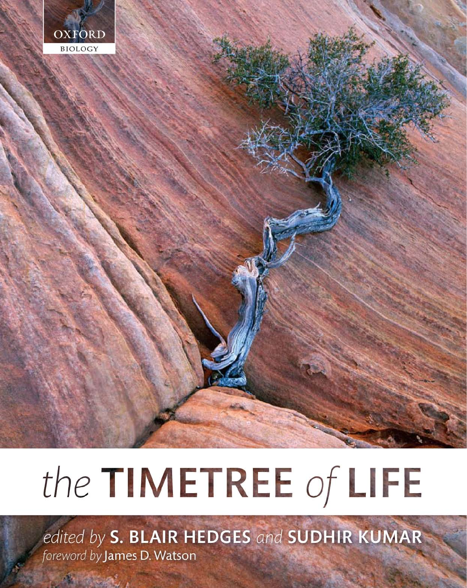

# the TIMETREE of LIFE

edited by S. BLAIR HEDGES and SUDHIR KUMAR foreword by James D. Watson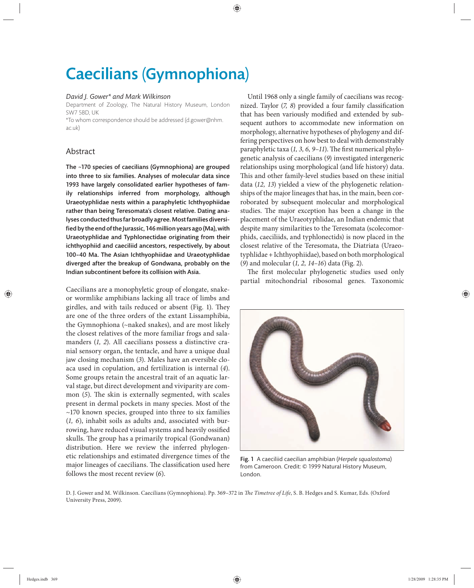# Caecilians (Gymnophiona)

#### *David J. Gower\* and Mark Wilkinson*

Department of Zoology, The Natural History Museum, London SW7 5BD, UK

\*To whom correspondence should be addressed (d.gower@nhm.  $ac<sub>11</sub>k$ 

# Abstract

The ~170 species of caecilians (Gymnophiona) are grouped into three to six families. Analyses of molecular data since 1993 have largely consolidated earlier hypotheses of family relationships inferred from morphology, although Uraeotyphlidae nests within a paraphyletic Ichthyophiidae rather than being Teresomata's closest relative. Dating analyses conducted thus far broadly agree. Most families diversified by the end of the Jurassic, 146 million years ago (Ma), with Uraeotyphlidae and Typhlonectidae originating from their ichthyophiid and caeciliid ancestors, respectively, by about 100–40 Ma. The Asian Ichthyophiidae and Uraeotyphlidae diverged after the breakup of Gondwana, probably on the Indian subcontinent before its collision with Asia.

Caecilians are a monophyletic group of elongate, snakeor wormlike amphibians lacking all trace of limbs and girdles, and with tails reduced or absent (Fig. 1). They are one of the three orders of the extant Lissamphibia, the Gymnophiona (~naked snakes), and are most likely the closest relatives of the more familiar frogs and salamanders (*1, 2*). All caecilians possess a distinctive cranial sensory organ, the tentacle, and have a unique dual jaw closing mechanism (*3*). Males have an eversible cloaca used in copulation, and fertilization is internal (*4*). Some groups retain the ancestral trait of an aquatic larval stage, but direct development and viviparity are common (5). The skin is externally segmented, with scales present in dermal pockets in many species. Most of the ~170 known species, grouped into three to six families (1, 6), inhabit soils as adults and, associated with burrowing, have reduced visual systems and heavily ossified skulls. The group has a primarily tropical (Gondwanan) distribution. Here we review the inferred phylogenetic relationships and estimated divergence times of the major lineages of caecilians. The classification used here follows the most recent review (*6*).

Until 1968 only a single family of caecilians was recognized. Taylor (7, 8) provided a four family classification that has been variously modified and extended by subsequent authors to accommodate new information on morphology, alternative hypotheses of phylogeny and differing perspectives on how best to deal with demonstrably paraphyletic taxa (1, 3, 6, 9-11). The first numerical phylogenetic analysis of caecilians (*9*) investigated intergeneric relationships using morphological (and life history) data. This and other family-level studies based on these initial data (*12, 13*) yielded a view of the phylogenetic relationships of the major lineages that has, in the main, been corroborated by subsequent molecular and morphological studies. The major exception has been a change in the placement of the Uraeotyphlidae, an Indian endemic that despite many similarities to the Teresomata (scolecomorphids, caeciliids, and typhlonectids) is now placed in the closest relative of the Teresomata, the Diatriata (Uraeotyphlidae + Ichthyophiidae), based on both morphological (*9*) and molecular (*1, 2, 14–16*) data (Fig. 2).

The first molecular phylogenetic studies used only partial mitochondrial ribosomal genes. Taxonomic



Fig. 1 A caeciliid caecilian amphibian (*Herpele squalostoma*) from Cameroon. Credit: © 1999 Natural History Museum, London.

D. J. Gower and M. Wilkinson. Caecilians (Gymnophiona). Pp. 369-372 in *The Timetree of Life*, S. B. Hedges and S. Kumar, Eds. (Oxford University Press, 2009).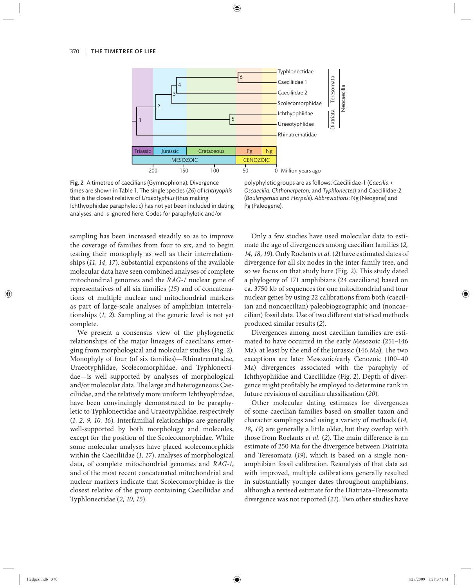

Fig. 2 A timetree of caecilians (Gymnophiona). Divergence times are shown in Table 1. The single species (*26*) of *Ichthyophis* that is the closest relative of *Uraeotyphlus* (thus making Ichthyophiidae paraphyletic) has not yet been included in dating analyses, and is ignored here. Codes for paraphyletic and/or

polyphyletic groups are as follows: Caeciliidae-1 (*Caecilia* + *Oscaecilia*, *Chthonerpeton*, and *Typhlonectes*) and Caeciliidae-2 (*Boulengerula* and *Herpele*). *Abbreviations*: Ng (Neogene) and Pg (Paleogene).

sampling has been increased steadily so as to improve the coverage of families from four to six, and to begin testing their monophyly as well as their interrelationships (*11, 14, 17*). Substantial expansions of the available molecular data have seen combined analyses of complete mitochondrial genomes and the *RAG-1* nuclear gene of representatives of all six families (*15*) and of concatenations of multiple nuclear and mitochondrial markers as part of large-scale analyses of amphibian interrelationships (*1, 2*). Sampling at the generic level is not yet complete.

We present a consensus view of the phylogenetic relationships of the major lineages of caecilians emerging from morphological and molecular studies (Fig. 2). Monophyly of four (of six families)—Rhinatrematidae, Uraeotyphlidae, Scolecomorphidae, and Typhlonectidae—is well supported by analyses of morphological and/or molecular data. The large and heterogeneous Caeciliidae, and the relatively more uniform Ichthyophiidae, have been convincingly demonstrated to be paraphyletic to Typhlonectidae and Uraeotyphlidae, respectively (*1, 2, 9, 10, 16*). Interfamilial relationships are generally well-supported by both morphology and molecules, except for the position of the Scolecomorphidae. While some molecular analyses have placed scolecomorphids within the Caeciliidae (*1, 17*), analyses of morphological data, of complete mitochondrial genomes and *RAG-1*, and of the most recent concatenated mitochondrial and nuclear markers indicate that Scolecomorphidae is the closest relative of the group containing Caeciliidae and Typhlonectidae (*2, 10, 15*).

Only a few studies have used molecular data to estimate the age of divergences among caecilian families (*2, 14, 18, 19*). Only Roelants *et al.* (*2*) have estimated dates of divergence for all six nodes in the inter-family tree, and so we focus on that study here (Fig. 2). This study dated a phylogeny of 171 amphibians (24 caecilians) based on ca. 3750 kb of sequences for one mitochondrial and four nuclear genes by using 22 calibrations from both (caecilian and noncaecilian) paleobiogeographic and (noncaecilian) fossil data. Use of two different statistical methods produced similar results (*2*).

Divergences among most caecilian families are estimated to have occurred in the early Mesozoic (251–146 Ma), at least by the end of the Jurassic (146 Ma). The two exceptions are later Mesozoic/early Cenozoic (100–40 Ma) divergences associated with the paraphyly of Ichthyophiidae and Caeciliidae (Fig. 2). Depth of divergence might profitably be employed to determine rank in future revisions of caecilian classification (20).

Other molecular dating estimates for divergences of some caecilian families based on smaller taxon and character samplings and using a variety of methods (*14, 18, 19*) are generally a little older, but they overlap with those from Roelants *et al.* (2). The main difference is an estimate of 250 Ma for the divergence between Diatriata and Teresomata (*19*), which is based on a single nonamphibian fossil calibration. Reanalysis of that data set with improved, multiple calibrations generally resulted in substantially younger dates throughout amphibians, although a revised estimate for the Diatriata–Teresomata divergence was not reported (*21*). Two other studies have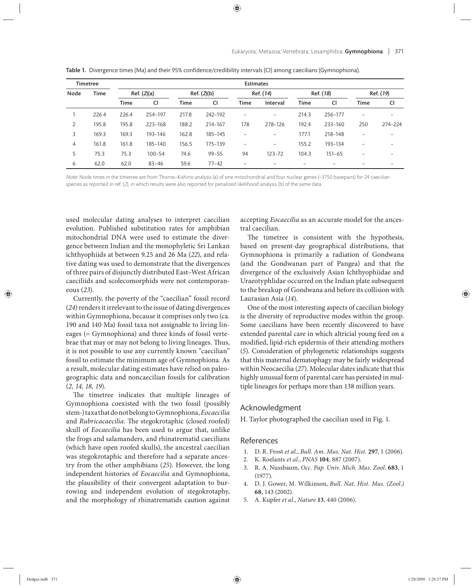| <b>Timetree</b> |             | <b>Estimates</b> |            |             |           |                          |                          |             |            |                          |           |
|-----------------|-------------|------------------|------------|-------------|-----------|--------------------------|--------------------------|-------------|------------|--------------------------|-----------|
| Node            | <b>Time</b> | Ref. (2)(a)      |            | Ref. (2)(b) |           | Ref. (14)                |                          | Ref. (18)   |            | Ref. (19)                |           |
|                 |             | Time             | <b>CI</b>  | <b>Time</b> | CI        | Time                     | Interval                 | <b>Time</b> | <b>CI</b>  | <b>Time</b>              | <b>CI</b> |
|                 | 226.4       | 226.4            | 254-197    | 217.8       | 242-192   | $\overline{\phantom{0}}$ | $\overline{\phantom{0}}$ | 214.3       | 256-177    | $\overline{\phantom{a}}$ |           |
|                 | 195.8       | 195.8            | 223-168    | 188.2       | 214-167   | 178                      | 278-126                  | 192.4       | 233-160    | 250                      | 274-224   |
| 3               | 169.3       | 169.3            | 193-146    | 162.8       | 185-145   |                          | $\qquad \qquad -$        | 177.1       | 218-148    | $\overline{\phantom{a}}$ |           |
| 4               | 161.8       | 161.8            | 185-140    | 156.5       | 175-139   | $\overline{a}$           | $\overline{\phantom{0}}$ | 155.2       | 193-134    |                          |           |
| 5               | 75.3        | 75.3             | $100 - 54$ | 74.6        | $99 - 55$ | 94                       | $123 - 72$               | 104.3       | $151 - 65$ |                          |           |
| 6               | 62.0        | 62.0             | $83 - 46$  | 59.6        | $77 - 42$ |                          |                          |             |            |                          |           |

Table 1. Divergence times (Ma) and their 95% confidence/credibility intervals (CI) among caecilians (Gymnophiona).

Note: Node times in the timetree are from Thorne–Kishino analysis (a) of one mitochondrial and four nuclear genes (~3750 basepairs) for 24 caecilian species as reported in ref. (2), in which results were also reported for penalized likelihood analysis (b) of the same data.

used molecular dating analyses to interpret caecilian evolution. Published substitution rates for amphibian mitochondrial DNA were used to estimate the divergence between Indian and the monophyletic Sri Lankan ichthyophiids at between 9.25 and 26 Ma (*22*), and relative dating was used to demonstrate that the divergences of three pairs of disjunctly distributed East–West African caeciliids and scolecomorphids were not contemporaneous (*23*).

Currently, the poverty of the "caecilian" fossil record (*24*) renders it irrelevant to the issue of dating divergences within Gymnophiona, because it comprises only two (ca. 190 and 140 Ma) fossil taxa not assignable to living lineages (= Gymnophiona) and three kinds of fossil vertebrae that may or may not belong to living lineages. Thus, it is not possible to use any currently known "caecilian" fossil to estimate the minimum age of Gymnophiona. As a result, molecular dating estimates have relied on paleogeographic data and noncaecilian fossils for calibration (*2, 14, 18, 19*).

The timetree indicates that multiple lineages of Gymnophiona coexisted with the two fossil (possibly stem-) taxa that do not belong to Gymnophiona, *Eocaecilia* and *Rubricacaecilia*. The stegokrotaphic (closed roofed) skull of *Eocaecilia* has been used to argue that, unlike the frogs and salamanders, and rhinatrematid caecilians (which have open roofed skulls), the ancestral caecilian was stegokrotaphic and therefore had a separate ancestry from the other amphibians (*25*). However, the long independent histories of *Eocaecilia* and Gymnophiona, the plausibility of their convergent adaptation to burrowing and independent evolution of stegokrotaphy, and the morphology of rhinatrematids caution against

accepting *Eocaecilia* as an accurate model for the ancestral caecilian.

The timetree is consistent with the hypothesis, based on present-day geographical distributions, that Gymnophiona is primarily a radiation of Gondwana (and the Gondwanan part of Pangea) and that the divergence of the exclusively Asian Ichthyophiidae and Uraeotyphlidae occurred on the Indian plate subsequent to the breakup of Gondwana and before its collision with Laurasian Asia (*14*).

One of the most interesting aspects of caecilian biology is the diversity of reproductive modes within the group. Some caecilians have been recently discovered to have extended parental care in which altricial young feed on a modified, lipid-rich epidermis of their attending mothers (*5*). Consideration of phylogenetic relationships suggests that this maternal dematophagy may be fairly widespread within Neocaecilia (*27*). Molecular dates indicate that this highly unusual form of parental care has persisted in multiple lineages for perhaps more than 138 million years.

## Acknowledgment

H. Taylor photographed the caecilian used in Fig. 1.

## References

- 1. D. R. Frost *et al.*, *Bull. Am. Mus. Nat. Hist.* **297**, 1 (2006).
- 2. K. Roelants *et al.*, *PNAS* **104**, 887 (2007).
- 3. R. A. Nussbaum, *Occ. Pap. Univ. Mich. Mus. Zool.* **683**, 1 (1977).
- 4. D. J. Gower, M. Wilkinson, *Bull. Nat. Hist. Mus. (Zool.)* **68**, 143 (2002).
- 5. A. Kupfer *et al.*, *Nature* **13**, 440 (2006).